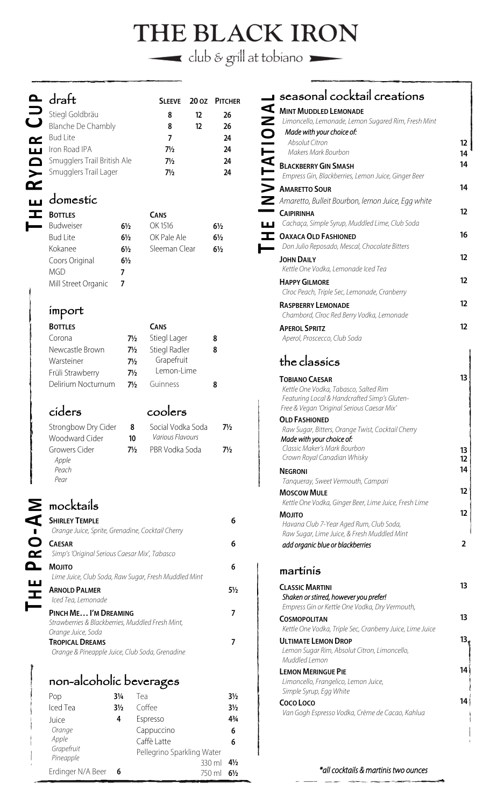# THE BLACK IRON

 $\blacksquare$  club & grill at tobiano

|                       | $\Delta$ draft                    |                | <b>SLEEVE</b>  |                   | 20 OZ PITCHER  |
|-----------------------|-----------------------------------|----------------|----------------|-------------------|----------------|
|                       | Stiegl Goldbräu<br>Blanche De Cha |                | 8              | 12                | 26             |
|                       | <b>Blanche De Chambly</b>         |                | 8              | $12 \overline{ }$ | 26             |
|                       | <b>Bud Lite</b>                   |                | 7              |                   | 24             |
| ш                     | Iron Road IPA                     |                | $7\frac{1}{2}$ |                   | 24             |
|                       | Smugglers Trail British Ale       |                | $7\frac{1}{2}$ |                   | 24             |
| $\blacktriangleright$ | Smugglers Trail Lager             |                | $7\frac{1}{2}$ |                   | 24             |
|                       |                                   |                |                |                   |                |
|                       | domestic                          |                |                |                   |                |
|                       | <b>BOTTLES</b>                    |                | <b>CANS</b>    |                   |                |
|                       | <b>Budweiser</b>                  | $6\frac{1}{2}$ | OK 1516        |                   | $6\frac{1}{2}$ |

#### domestic **BOTTLES** CANS

| <b>DUITLES</b>      |                | <b>LANS</b>   |                |
|---------------------|----------------|---------------|----------------|
| <b>Budweiser</b>    | $6\frac{1}{2}$ | OK 1516       | $6\frac{1}{2}$ |
| <b>Bud Lite</b>     | $6\frac{1}{2}$ | OK Pale Ale   | $6\frac{1}{2}$ |
| Kokanee             | $6\frac{1}{2}$ | Sleeman Clear | $6\frac{1}{2}$ |
| Coors Original      | $6\frac{1}{2}$ |               |                |
| MGD                 | 7              |               |                |
| Mill Street Organic |                |               |                |
|                     |                |               |                |

#### import

| <b>BOTTLES</b>     |                | <b>CANS</b>          |   |
|--------------------|----------------|----------------------|---|
| Corona             | $7\frac{1}{2}$ | Stiegl Lager         | 8 |
| Newcastle Brown    | $7\frac{1}{2}$ | <b>Stiegl Radler</b> | 8 |
| Warsteiner         | $7\frac{1}{2}$ | Grapefruit           |   |
| Früli Strawberry   | $7\frac{1}{2}$ | Lemon-Lime           |   |
| Delirium Nocturnum | 7½             | Guinness             | 8 |
|                    |                |                      |   |

### ciders coolers

| Strongbow Dry Cider<br>Woodward Cider | 8              | Social Vodka Soda<br><i>Various Flavours</i> | 7½ |
|---------------------------------------|----------------|----------------------------------------------|----|
|                                       | 10             |                                              |    |
| Growers Cider                         | $7\frac{1}{2}$ | PBR Vodka Soda                               | 7½ |
| Apple                                 |                |                                              |    |
| Peach                                 |                |                                              |    |
| Pear                                  |                |                                              |    |

### $\sum$  mocktails

**THE** 

**PR O**

**- A M** 

| <b>SHIRLEY TEMPLE</b><br>Orange Juice, Sprite, Grenadine, Cocktail Cherry                       | 6  |
|-------------------------------------------------------------------------------------------------|----|
| <b>CAESAR</b><br>Simp's 'Original Serious Caesar Mix', Tabasco                                  | 6  |
| <b>MOJITO</b><br>Lime Juice, Club Soda, Raw Sugar, Fresh Muddled Mint                           | 6  |
| <b>ARNOLD PALMER</b><br>Iced Tea, Lemonade                                                      | 5½ |
| PINCH ME I'M DREAMING<br>Strawberries & Blackberries, Muddled Fresh Mint,<br>Orange Juice, Soda |    |
| <b>TROPICAL DREAMS</b><br>Orange & Pineapple Juice, Club Soda, Grenadine                        |    |

#### non-alcoholic beverages

| $3\frac{1}{4}$ | Tea                        | $3\frac{1}{2}$ |
|----------------|----------------------------|----------------|
| $3\frac{1}{2}$ | Coffee                     | $3\frac{1}{2}$ |
| 4              | Espresso                   | 43/4           |
|                | Cappuccino                 | 6              |
|                | Caffè Latte                | 6              |
|                | Pellegrino Sparkling Water |                |
|                | 330 ml                     | $4\frac{1}{2}$ |
|                | 750 ml                     | $6\frac{1}{2}$ |
|                |                            |                |

|                | $\blacksquare$ seasonal cocktail creations                                         |                   |
|----------------|------------------------------------------------------------------------------------|-------------------|
|                | MINT MUDDLED LEMONADE                                                              |                   |
|                | Limoncello, Lemonade, Lemon Sugared Rim, Fresh Mint                                |                   |
|                | Made with your choice of:                                                          |                   |
|                | <b>Absolut Citron</b>                                                              | $12 \overline{ }$ |
| <b>NOITATI</b> | Makers Mark Bourbon                                                                | 14                |
|                | <b>BLACKBERRY GIN SMASH</b><br>Empress Gin, Blackberries, Lemon Juice, Ginger Beer | 14                |
|                |                                                                                    | 14                |
|                | AMARETTO SOUR                                                                      |                   |
|                | Amaretto, Bulleit Bourbon, lemon Juice, Egg white                                  | 12                |
|                | <b>CAIPIRINHA</b><br>Cachaça, Simple Syrup, Muddled Lime, Club Soda                |                   |
|                | <b>OAXACA OLD FASHIONED</b>                                                        | 16                |
|                | Don Julio Reposado, Mescal, Chocolate Bitters                                      |                   |
|                | <b>JOHN DAILY</b>                                                                  | 12                |
|                | Kettle One Vodka, Lemonade Iced Tea                                                |                   |
|                | <b>HAPPY GILMORE</b>                                                               | $12 \ \mathrm{ }$ |
|                | Cîroc Peach, Triple Sec, Lemonade, Cranberry                                       |                   |
|                | <b>RASPBERRY LEMONADE</b>                                                          | $12 \overline{ }$ |
|                | Chambord, Cîroc Red Berry Vodka, Lemonade                                          |                   |
|                | <b>APEROL SPRITZ</b>                                                               | 12                |
|                | Aperol, Proscecco, Club Soda                                                       |                   |
|                | the classics                                                                       |                   |
|                | <b>TOBIANO CAESAR</b>                                                              | 13                |
|                | Kettle One Vodka, Tabasco, Salted Rim                                              |                   |
|                | Featuring Local & Handcrafted Simp's Gluten-                                       |                   |
|                | Free & Vegan 'Original Serious Caesar Mix'<br><b>OLD FASHIONED</b>                 |                   |
|                | Raw Sugar, Bitters, Orange Twist, Cocktail Cherry                                  |                   |
|                | Made with your choice of:                                                          |                   |
|                | Classic Maker's Mark Bourbon                                                       | 13                |
|                | Crown Royal Canadian Whisky                                                        | 12                |
|                | <b>NEGRONI</b>                                                                     | 14                |
|                | Tanqueray, Sweet Vermouth, Campari<br><b>MOSCOW MULE</b>                           | 12 <sup>2</sup>   |
|                | Kettle One Vodka, Ginger Beer, Lime Juice, Fresh Lime                              |                   |
|                | <b>MOJITO</b>                                                                      | $12 \overline{ }$ |
|                | Havana Club 7-Year Aged Rum, Club Soda,                                            |                   |
|                | Raw Sugar, Lime Juice, & Fresh Muddled Mint                                        |                   |
|                | add organic blue or blackberries                                                   | $\overline{2}$    |
|                | martínís                                                                           |                   |
|                | <b>CLASSIC MARTINI</b>                                                             | 13                |
|                | Shaken or stirred, however you prefer!                                             |                   |
|                | Empress Gin or Kettle One Vodka, Dry Vermouth,                                     |                   |
|                | <b>COSMOPOLITAN</b>                                                                | 13                |
|                | Kettle One Vodka, Triple Sec, Cranberry Juice, Lime Juice                          |                   |
|                | <b>ULTIMATE LEMON DROP</b>                                                         | 13 <sub>1</sub>   |
|                | Lemon Sugar Rim, Absolut Citron, Limoncello,<br>Muddled Lemon                      |                   |
|                | <b>LEMON MERINGUE PIE</b>                                                          | 14                |
|                | Limoncello, Frangelico, Lemon Juice,                                               |                   |
|                | Simple Syrup, Egg White                                                            |                   |

**COCO LOCO**

*Van Gogh Espresso Vodka, Crème de Cacao, Kahlua*

#### \*all cocktails & martinis two ounces

14 ∮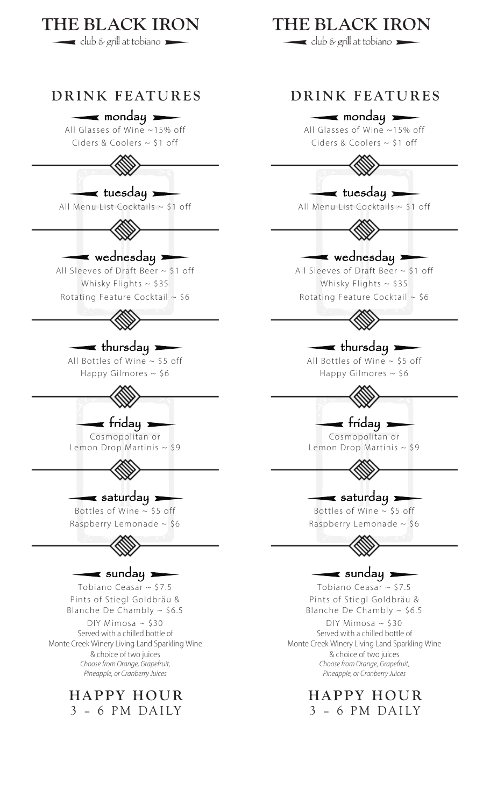

3 – 6 PM DAILY